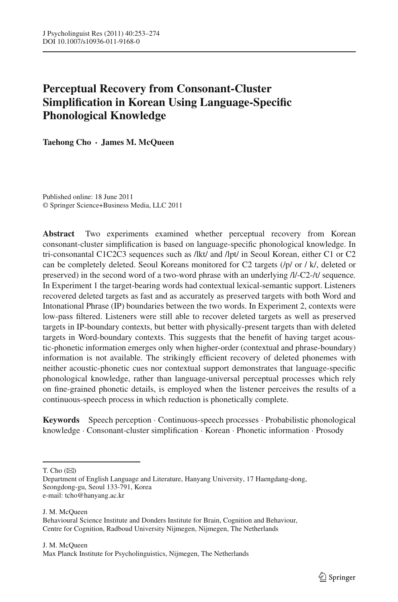# **Perceptual Recovery from Consonant-Cluster Simplification in Korean Using Language-Specific Phonological Knowledge**

**Taehong Cho · James M. McQueen**

Published online: 18 June 2011 © Springer Science+Business Media, LLC 2011

**Abstract** Two experiments examined whether perceptual recovery from Korean consonant-cluster simplification is based on language-specific phonological knowledge. In tri-consonantal C1C2C3 sequences such as /lkt/ and /lpt/ in Seoul Korean, either C1 or C2 can be completely deleted. Seoul Koreans monitored for C2 targets (/p/ or / k/, deleted or preserved) in the second word of a two-word phrase with an underlying /l/-C2-/t/ sequence. In Experiment 1 the target-bearing words had contextual lexical-semantic support. Listeners recovered deleted targets as fast and as accurately as preserved targets with both Word and Intonational Phrase (IP) boundaries between the two words. In Experiment 2, contexts were low-pass filtered. Listeners were still able to recover deleted targets as well as preserved targets in IP-boundary contexts, but better with physically-present targets than with deleted targets in Word-boundary contexts. This suggests that the benefit of having target acoustic-phonetic information emerges only when higher-order (contextual and phrase-boundary) information is not available. The strikingly efficient recovery of deleted phonemes with neither acoustic-phonetic cues nor contextual support demonstrates that language-specific phonological knowledge, rather than language-universal perceptual processes which rely on fine-grained phonetic details, is employed when the listener perceives the results of a continuous-speech process in which reduction is phonetically complete.

**Keywords** Speech perception · Continuous-speech processes · Probabilistic phonological knowledge · Consonant-cluster simplification · Korean · Phonetic information · Prosody

T. Cho  $(\boxtimes)$ 

J. M. McQueen

Department of English Language and Literature, Hanyang University, 17 Haengdang-dong, Seongdong-gu, Seoul 133-791, Korea e-mail: tcho@hanyang.ac.kr

Behavioural Science Institute and Donders Institute for Brain, Cognition and Behaviour, Centre for Cognition, Radboud University Nijmegen, Nijmegen, The Netherlands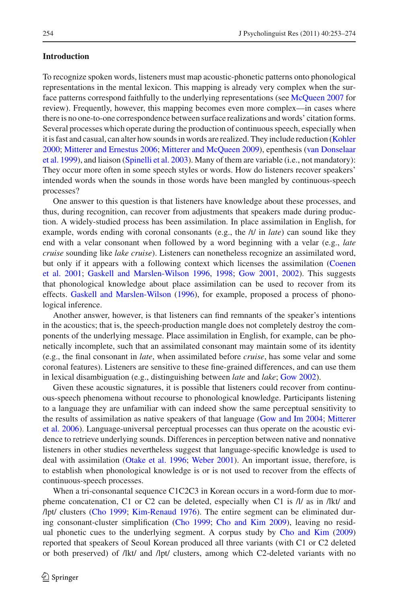## **Introduction**

To recognize spoken words, listeners must map acoustic-phonetic patterns onto phonological representations in the mental lexicon. This mapping is already very complex when the sur-face patterns correspond faithfully to the underlying representations (see [McQueen 2007](#page-20-0) for review). Frequently, however, this mapping becomes even more complex—in cases where there is no one-to-one correspondence between surface realizations and words' citation forms. Several processes which operate during the production of continuous speech, especially when it is fast and casual, can alter how sounds in words are realized. They include reduction [\(Kohler](#page-20-1) [2000](#page-20-1); [Mitterer and Ernestus 2006;](#page-20-2) [Mitterer and McQueen 2009](#page-20-3)[\),](#page-21-0) [epenthesis](#page-21-0) [\(](#page-21-0)van Donselaar et al. [1999\)](#page-21-0), and liaison [\(Spinelli et al. 2003\)](#page-21-1). Many of them are variable (i.e., not mandatory): They occur more often in some speech styles or words. How do listeners recover speakers' intended words when the sounds in those words have been mangled by continuous-speech processes?

One answer to this question is that listeners have knowledge about these processes, and thus, during recognition, can recover from adjustments that speakers made during production. A widely-studied process has been assimilation. In place assimilation in English, for example, words ending with coronal consonants (e.g., the /t/ in *late*) can sound like they end with a velar consonant when followed by a word beginning with a velar (e.g., *late cruise* sounding like *lake cruise*). Listeners can nonetheless recognize an assimilated word, but [only](#page-19-0) [if](#page-19-0) [it](#page-19-0) [appears](#page-19-0) [with](#page-19-0) [a](#page-19-0) [following](#page-19-0) [context](#page-19-0) [which](#page-19-0) [licenses](#page-19-0) [the](#page-19-0) [assimilation](#page-19-0) [\(](#page-19-0)Coenen et al. [2001](#page-19-0); [Gaskell and Marslen-Wilson 1996,](#page-19-1) [1998](#page-19-2); [Gow 2001](#page-19-3), [2002](#page-19-4)). This suggests that phonological knowledge about place assimilation can be used to recover from its effects. [Gaskell and Marslen-Wilson](#page-19-1) [\(1996\)](#page-19-1), for example, proposed a process of phonological inference.

Another answer, however, is that listeners can find remnants of the speaker's intentions in the acoustics; that is, the speech-production mangle does not completely destroy the components of the underlying message. Place assimilation in English, for example, can be phonetically incomplete, such that an assimilated consonant may maintain some of its identity (e.g., the final consonant in *late*, when assimilated before *cruise*, has some velar and some coronal features). Listeners are sensitive to these fine-grained differences, and can use them in lexical disambiguation (e.g., distinguishing between *late* and *lake*; [Gow 2002](#page-19-4)).

Given these acoustic signatures, it is possible that listeners could recover from continuous-speech phenomena without recourse to phonological knowledge. Participants listening to a language they are unfamiliar with can indeed show the same perceptual sensitivity to the r[esults](#page-20-5) [of](#page-20-5) [assimilation](#page-20-5) [as](#page-20-5) [native](#page-20-5) [speakers](#page-20-5) [of](#page-20-5) [that](#page-20-5) [language](#page-20-5) [\(Gow and Im 2004;](#page-20-4) Mitterer et al. [2006](#page-20-5)). Language-universal perceptual processes can thus operate on the acoustic evidence to retrieve underlying sounds. Differences in perception between native and nonnative listeners in other studies nevertheless suggest that language-specific knowledge is used to deal with assimilation [\(Otake et al. 1996;](#page-20-6) [Weber 2001\)](#page-21-2). An important issue, therefore, is to establish when phonological knowledge is or is not used to recover from the effects of continuous-speech processes.

When a tri-consonantal sequence C1C2C3 in Korean occurs in a word-form due to morpheme concatenation, C1 or C2 can be deleted, especially when C1 is /l/ as in /lkt/ and /lpt/ clusters [\(Cho 1999;](#page-19-5) [Kim-Renaud 1976](#page-20-7)). The entire segment can be eliminated during consonant-cluster simplification [\(Cho 1999](#page-19-5); [Cho and Kim 2009\)](#page-19-6), leaving no residual phonetic cues to the underlying segment. A corpus study by [Cho and Kim](#page-19-6) [\(2009\)](#page-19-6) reported that speakers of Seoul Korean produced all three variants (with C1 or C2 deleted or both preserved) of /lkt/ and /lpt/ clusters, among which C2-deleted variants with no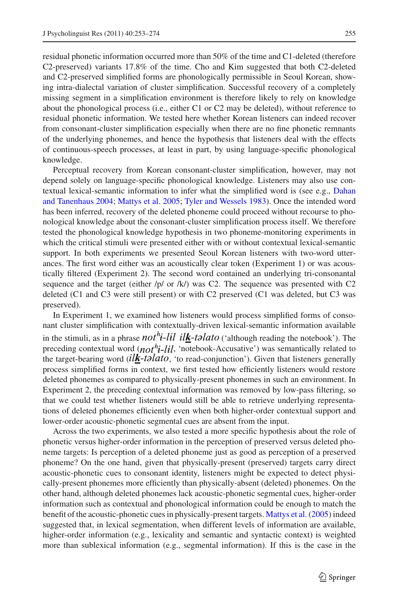residual phonetic information occurred more than 50% of the time and C1-deleted (therefore C2-preserved) variants 17.8% of the time. Cho and Kim suggested that both C2-deleted and C2-preserved simplified forms are phonologically permissible in Seoul Korean, showing intra-dialectal variation of cluster simplification. Successful recovery of a completely missing segment in a simplification environment is therefore likely to rely on knowledge about the phonological process (i.e., either C1 or C2 may be deleted), without reference to residual phonetic information. We tested here whether Korean listeners can indeed recover from consonant-cluster simplification especially when there are no fine phonetic remnants of the underlying phonemes, and hence the hypothesis that listeners deal with the effects of continuous-speech processes, at least in part, by using language-specific phonological knowledge.

Perceptual recovery from Korean consonant-cluster simplification, however, may not depend solely on language-specific phonological knowledge. Listeners may also use contextual lexical[-semantic](#page-19-7) [information](#page-19-7) [to](#page-19-7) [infer](#page-19-7) [what](#page-19-7) [the](#page-19-7) [simplified](#page-19-7) [word](#page-19-7) [is](#page-19-7) [\(see](#page-19-7) [e.g.,](#page-19-7) Dahan and Tanenhaus [2004](#page-19-7); [Mattys et al. 2005;](#page-20-8) [Tyler and Wessels 1983](#page-21-3)). Once the intended word has been inferred, recovery of the deleted phoneme could proceed without recourse to phonological knowledge about the consonant-cluster simplification process itself. We therefore tested the phonological knowledge hypothesis in two phoneme-monitoring experiments in which the critical stimuli were presented either with or without contextual lexical-semantic support. In both experiments we presented Seoul Korean listeners with two-word utterances. The first word either was an acoustically clear token (Experiment 1) or was acoustically filtered (Experiment 2). The second word contained an underlying tri-consonantal sequence and the target (either  $/p/$  or  $/k/$ ) was C2. The sequence was presented with C2 deleted (C1 and C3 were still present) or with C2 preserved (C1 was deleted, but C3 was preserved).

In Experiment 1, we examined how listeners would process simplified forms of consonant cluster simplification with contextually-driven lexical-semantic information available in the stimuli, as in a phrase *not*<sup>h</sup>i-lil ilk-talato ('although reading the notebook'). The preceding contextual word  $(not^h i$ -*lil*, 'notebook-Accusative') was semantically related to the target-bearing word ( $\hat{i}$ **lk**-t $\hat{i}$ **l**ato, 'to read-conjunction'). Given that listeners generally process simplified forms in context, we first tested how efficiently listeners would restore deleted phonemes as compared to physically-present phonemes in such an environment. In Experiment 2, the preceding contextual information was removed by low-pass filtering, so that we could test whether listeners would still be able to retrieve underlying representations of deleted phonemes efficiently even when both higher-order contextual support and lower-order acoustic-phonetic segmental cues are absent from the input.

Across the two experiments, we also tested a more specific hypothesis about the role of phonetic versus higher-order information in the perception of preserved versus deleted phoneme targets: Is perception of a deleted phoneme just as good as perception of a preserved phoneme? On the one hand, given that physically-present (preserved) targets carry direct acoustic-phonetic cues to consonant identity, listeners might be expected to detect physically-present phonemes more efficiently than physically-absent (deleted) phonemes. On the other hand, although deleted phonemes lack acoustic-phonetic segmental cues, higher-order information such as contextual and phonological information could be enough to match the benefit of the acoustic-phonetic cues in physically-present targets. [Mattys et al.](#page-20-8) [\(2005\)](#page-20-8) indeed suggested that, in lexical segmentation, when different levels of information are available, higher-order information (e.g., lexicality and semantic and syntactic context) is weighted more than sublexical information (e.g., segmental information). If this is the case in the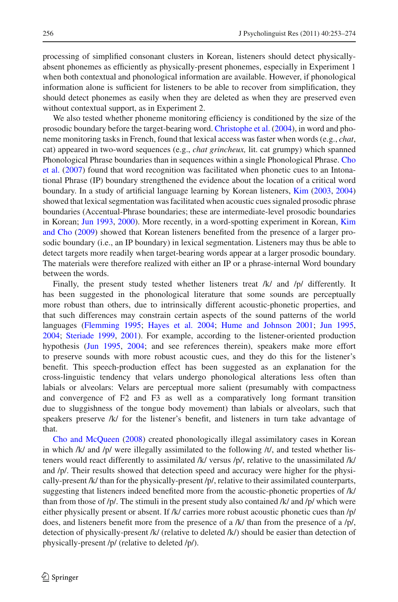processing of simplified consonant clusters in Korean, listeners should detect physicallyabsent phonemes as efficiently as physically-present phonemes, especially in Experiment 1 when both contextual and phonological information are available. However, if phonological information alone is sufficient for listeners to be able to recover from simplification, they should detect phonemes as easily when they are deleted as when they are preserved even without contextual support, as in Experiment 2.

We also tested whether phoneme monitoring efficiency is conditioned by the size of the prosodic boundary before the target-bearing word. [Christophe et al.](#page-19-8) [\(2004](#page-19-8)), in word and phoneme monitoring tasks in French, found that lexical access was faster when words (e.g., *chat*, cat) appeared in two-word sequences (e.g., *chat grincheux,* lit. cat grumpy) which spanned Pho[nological](#page-19-9) [Phrase](#page-19-9) [boundaries](#page-19-9) [than](#page-19-9) [in](#page-19-9) [sequences](#page-19-9) [within](#page-19-9) [a](#page-19-9) [single](#page-19-9) [Phonological](#page-19-9) [Phrase.](#page-19-9) Cho et al. [\(2007](#page-19-9)) found that word recognition was facilitated when phonetic cues to an Intonational Phrase (IP) boundary strengthened the evidence about the location of a critical word boundary. In a study of artificial language learning by Korean listeners, [Kim](#page-20-9) [\(2003,](#page-20-9) [2004\)](#page-20-10) showed that lexical segmentation was facilitated when acoustic cues signaled prosodic phrase boundaries (Accentual-Phrase boundaries; these are intermediate-level prosodic boundaries in Korean; [Jun 1993](#page-20-11), [2000](#page-20-12)[\).](#page-20-13) [More](#page-20-13) [recently,](#page-20-13) [in](#page-20-13) [a](#page-20-13) [word-spotting](#page-20-13) [experiment](#page-20-13) [in](#page-20-13) [Korean,](#page-20-13) Kim and Cho [\(2009\)](#page-20-13) showed that Korean listeners benefited from the presence of a larger prosodic boundary (i.e., an IP boundary) in lexical segmentation. Listeners may thus be able to detect targets more readily when target-bearing words appear at a larger prosodic boundary. The materials were therefore realized with either an IP or a phrase-internal Word boundary between the words.

Finally, the present study tested whether listeners treat /k/ and /p/ differently. It has been suggested in the phonological literature that some sounds are perceptually more robust than others, due to intrinsically different acoustic-phonetic properties, and that such differences may constrain certain aspects of the sound patterns of the world languages [\(Flemming 1995;](#page-19-10) [Hayes et al. 2004;](#page-20-14) [Hume and Johnson 2001](#page-20-15); [Jun 1995,](#page-20-16) [2004](#page-20-17); [Steriade 1999,](#page-21-4) [2001](#page-21-5)). For example, according to the listener-oriented production hypothesis [\(Jun 1995](#page-20-16), [2004;](#page-20-17) and see references therein), speakers make more effort to preserve sounds with more robust acoustic cues, and they do this for the listener's benefit. This speech-production effect has been suggested as an explanation for the cross-linguistic tendency that velars undergo phonological alterations less often than labials or alveolars: Velars are perceptual more salient (presumably with compactness and convergence of F2 and F3 as well as a comparatively long formant transition due to sluggishness of the tongue body movement) than labials or alveolars, such that speakers preserve /k/ for the listener's benefit, and listeners in turn take advantage of [that.](#page-19-11)

Cho and McQueen [\(2008](#page-19-11)) created phonologically illegal assimilatory cases in Korean in which  $/k$  and  $/p$  were illegally assimilated to the following  $/t/$ , and tested whether listeners would react differently to assimilated /k/ versus /p/, relative to the unassimilated /k/ and /p/. Their results showed that detection speed and accuracy were higher for the physically-present /k/ than for the physically-present /p/, relative to their assimilated counterparts, suggesting that listeners indeed benefited more from the acoustic-phonetic properties of /k/ than from those of  $/p/$ . The stimuli in the present study also contained  $/k/$  and  $/p/$  which were either physically present or absent. If /k/ carries more robust acoustic phonetic cues than /p/ does, and listeners benefit more from the presence of a /k/ than from the presence of a /p/, detection of physically-present /k/ (relative to deleted /k/) should be easier than detection of physically-present /p/ (relative to deleted /p/).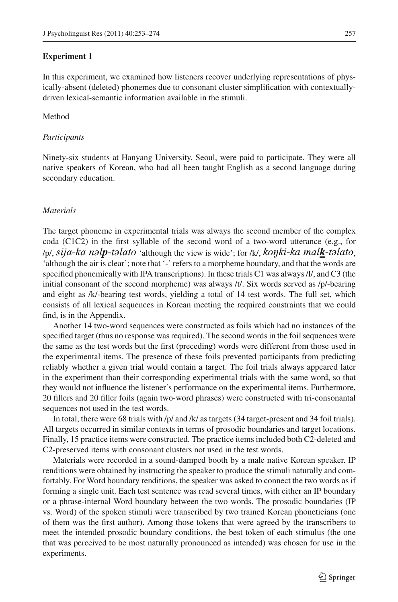# **Experiment 1**

In this experiment, we examined how listeners recover underlying representations of physically-absent (deleted) phonemes due to consonant cluster simplification with contextuallydriven lexical-semantic information available in the stimuli.

# Method

# *Participants*

Ninety-six students at Hanyang University, Seoul, were paid to participate. They were all native speakers of Korean, who had all been taught English as a second language during secondary education.

# *Materials*

The target phoneme in experimental trials was always the second member of the complex coda (C1C2) in the first syllable of the second word of a two-word utterance (e.g., for /p/, sija-ka nəl**p**-təlato 'although the view is wide'; for /k/, konki-ka malk-təlato, 'although the air is clear'; note that '-' refers to a morpheme boundary, and that the words are specified phonemically with IPA transcriptions). In these trials C1 was always /l/, and C3 (the initial consonant of the second morpheme) was always  $/t/$ . Six words served as  $/p/$ -bearing and eight as /k/-bearing test words, yielding a total of 14 test words. The full set, which consists of all lexical sequences in Korean meeting the required constraints that we could find, is in the Appendix.

Another 14 two-word sequences were constructed as foils which had no instances of the specified target (thus no response was required). The second words in the foil sequences were the same as the test words but the first (preceding) words were different from those used in the experimental items. The presence of these foils prevented participants from predicting reliably whether a given trial would contain a target. The foil trials always appeared later in the experiment than their corresponding experimental trials with the same word, so that they would not influence the listener's performance on the experimental items. Furthermore, 20 fillers and 20 filler foils (again two-word phrases) were constructed with tri-consonantal sequences not used in the test words.

In total, there were 68 trials with /p/ and /k/ as targets (34 target-present and 34 foil trials). All targets occurred in similar contexts in terms of prosodic boundaries and target locations. Finally, 15 practice items were constructed. The practice items included both C2-deleted and C2-preserved items with consonant clusters not used in the test words.

Materials were recorded in a sound-damped booth by a male native Korean speaker. IP renditions were obtained by instructing the speaker to produce the stimuli naturally and comfortably. For Word boundary renditions, the speaker was asked to connect the two words as if forming a single unit. Each test sentence was read several times, with either an IP boundary or a phrase-internal Word boundary between the two words. The prosodic boundaries (IP vs. Word) of the spoken stimuli were transcribed by two trained Korean phoneticians (one of them was the first author). Among those tokens that were agreed by the transcribers to meet the intended prosodic boundary conditions, the best token of each stimulus (the one that was perceived to be most naturally pronounced as intended) was chosen for use in the experiments.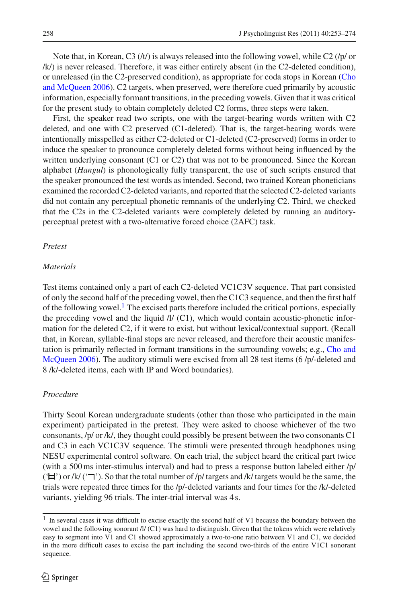Note that, in Korean, C3 (/t/) is always released into the following vowel, while C2 (/p/ or /k/) is never released. Therefore, it was either entirely absent (in the C2-deleted condition), or unreleased [\(in](#page-19-12) [the](#page-19-12) [C2-preserved](#page-19-12) [condition\),](#page-19-12) [as](#page-19-12) [appropriate](#page-19-12) [for](#page-19-12) [coda](#page-19-12) [stops](#page-19-12) [in](#page-19-12) [Korean](#page-19-12) [\(](#page-19-12)Cho and McQueen [2006](#page-19-12)). C2 targets, when preserved, were therefore cued primarily by acoustic information, especially formant transitions, in the preceding vowels. Given that it was critical for the present study to obtain completely deleted C2 forms, three steps were taken.

First, the speaker read two scripts, one with the target-bearing words written with C2 deleted, and one with C2 preserved (C1-deleted). That is, the target-bearing words were intentionally misspelled as either C2-deleted or C1-deleted (C2-preserved) forms in order to induce the speaker to pronounce completely deleted forms without being influenced by the written underlying consonant (C1 or C2) that was not to be pronounced. Since the Korean alphabet (*Hangul*) is phonologically fully transparent, the use of such scripts ensured that the speaker pronounced the test words as intended. Second, two trained Korean phoneticians examined the recorded C2-deleted variants, and reported that the selected C2-deleted variants did not contain any perceptual phonetic remnants of the underlying C2. Third, we checked that the C2s in the C2-deleted variants were completely deleted by running an auditoryperceptual pretest with a two-alternative forced choice (2AFC) task.

# *Pretest*

## *Materials*

Test items contained only a part of each C2-deleted VC1C3V sequence. That part consisted of only the second half of the preceding vowel, then the C1C3 sequence, and then the first half of the following vowel.<sup>[1](#page-5-0)</sup> The excised parts therefore included the critical portions, especially the preceding vowel and the liquid /l/ (C1), which would contain acoustic-phonetic information for the deleted C2, if it were to exist, but without lexical/contextual support. (Recall that, in Korean, syllable-final stops are never released, and therefore their acoustic manifestation is [primarily](#page-19-12) [reflected](#page-19-12) [in](#page-19-12) [formant](#page-19-12) [transitions](#page-19-12) [in](#page-19-12) [the](#page-19-12) [surrounding](#page-19-12) [vowels;](#page-19-12) [e.g.,](#page-19-12) Cho and McQueen [2006\)](#page-19-12). The auditory stimuli were excised from all 28 test items (6 /p/-deleted and 8 /k/-deleted items, each with IP and Word boundaries).

# *Procedure*

Thirty Seoul Korean undergraduate students (other than those who participated in the main experiment) participated in the pretest. They were asked to choose whichever of the two consonants, /p/ or /k/, they thought could possibly be present between the two consonants C1 and C3 in each VC1C3V sequence. The stimuli were presented through headphones using NESU experimental control software. On each trial, the subject heard the critical part twice (with a 500ms inter-stimulus interval) and had to press a response button labeled either /p/  $({^{\circ}\mathsf{H}}')$  or /k/ ( $\check{}}$ ). So that the total number of /p/ targets and /k/ targets would be the same, the trials were repeated three times for the /p/-deleted variants and four times for the /k/-deleted variants, yielding 96 trials. The inter-trial interval was 4 s.

<span id="page-5-0"></span><sup>&</sup>lt;sup>1</sup> In several cases it was difficult to excise exactly the second half of V1 because the boundary between the vowel and the following sonorant /l/ (C1) was hard to distinguish. Given that the tokens which were relatively easy to segment into V1 and C1 showed approximately a two-to-one ratio between V1 and C1, we decided in the more difficult cases to excise the part including the second two-thirds of the entire V1C1 sonorant sequence.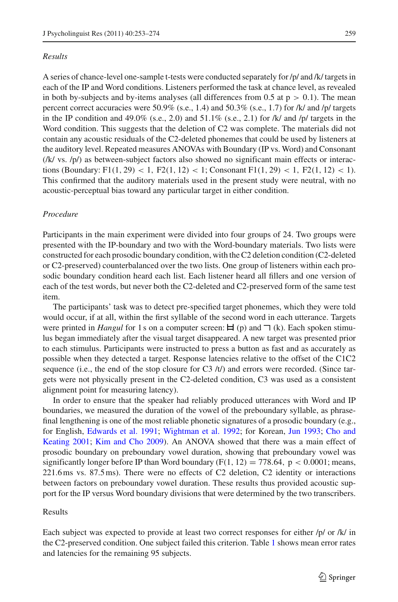## *Results*

A series of chance-level one-sample t-tests were conducted separately for /p/ and /k/ targets in each of the IP and Word conditions. Listeners performed the task at chance level, as revealed in both by-subjects and by-items analyses (all differences from  $0.5$  at  $p > 0.1$ ). The mean percent correct accuracies were  $50.9\%$  (s.e., 1.4) and  $50.3\%$  (s.e., 1.7) for /k/ and /p/ targets in the IP condition and 49.0% (s.e., 2.0) and  $51.1\%$  (s.e., 2.1) for /k/ and /p/ targets in the Word condition. This suggests that the deletion of C2 was complete. The materials did not contain any acoustic residuals of the C2-deleted phonemes that could be used by listeners at the auditory level. Repeated measures ANOVAs with Boundary (IP vs. Word) and Consonant (/k/ vs. /p/) as between-subject factors also showed no significant main effects or interactions (Boundary: F1*(*1*,* 29*) <* 1*,* F2*(*1*,* 12*) <* 1; Consonant F1*(*1*,* 29*) <* 1*,* F2*(*1*,* 12*) <* 1). This confirmed that the auditory materials used in the present study were neutral, with no acoustic-perceptual bias toward any particular target in either condition.

## *Procedure*

Participants in the main experiment were divided into four groups of 24. Two groups were presented with the IP-boundary and two with the Word-boundary materials. Two lists were constructed for each prosodic boundary condition, with the C2 deletion condition (C2-deleted or C2-preserved) counterbalanced over the two lists. One group of listeners within each prosodic boundary condition heard each list. Each listener heard all fillers and one version of each of the test words, but never both the C2-deleted and C2-preserved form of the same test item.

The participants' task was to detect pre-specified target phonemes, which they were told would occur, if at all, within the first syllable of the second word in each utterance. Targets were printed in *Hangul* for 1 s on a computer screen:  $\boldsymbol{\Box}$  (p) and  $\boldsymbol{\Box}$  (k). Each spoken stimulus began immediately after the visual target disappeared. A new target was presented prior to each stimulus. Participants were instructed to press a button as fast and as accurately as possible when they detected a target. Response latencies relative to the offset of the C1C2 sequence (i.e., the end of the stop closure for C3  $/t$ ) and errors were recorded. (Since targets were not physically present in the C2-deleted condition, C3 was used as a consistent alignment point for measuring latency).

In order to ensure that the speaker had reliably produced utterances with Word and IP boundaries, we measured the duration of the vowel of the preboundary syllable, as phrasefinal lengthening is one of the most reliable phonetic signatures of a prosodic boundary (e.g., for English, [Edwards et al. 1991](#page-19-13); [Wightman et al. 1992](#page-21-6)[;](#page-19-14) [for](#page-19-14) [Korean,](#page-19-14) [Jun 1993](#page-20-11); Cho and Keating [2001](#page-19-14); [Kim and Cho 2009\)](#page-20-13). An ANOVA showed that there was a main effect of prosodic boundary on preboundary vowel duration, showing that preboundary vowel was significantly longer before IP than Word boundary ( $F(1, 12) = 778.64$ ,  $p < 0.0001$ ; means, 221.6ms vs. 87.5ms). There were no effects of C2 deletion, C2 identity or interactions between factors on preboundary vowel duration. These results thus provided acoustic support for the IP versus Word boundary divisions that were determined by the two transcribers.

#### Results

Each subject was expected to provide at least two correct responses for either /p/ or /k/ in the C2-preserved condition. One subject failed this criterion. Table [1](#page-7-0) shows mean error rates and latencies for the remaining 95 subjects.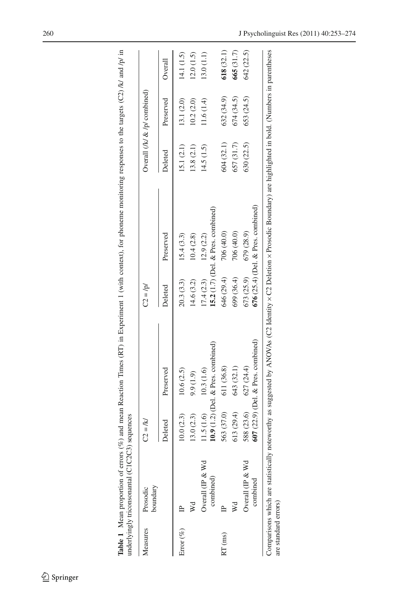| Measures     | boundary<br>Prosodic | $C2 = N$   |                                    | $C2 = /p/$ |                                    |            | Overall (/k/ & /p/ combined) |            |
|--------------|----------------------|------------|------------------------------------|------------|------------------------------------|------------|------------------------------|------------|
|              |                      | Deleted    | Preserved                          | Deleted    | Preserved                          | Deleted    | Preserved                    | Overall    |
| Error $(\%)$ |                      | 10.0(2.3)  | 10.6(2.5)                          | 20.3 (3.3) | 15.4(3.3)                          | 15.1(2.1)  | 13.1 (2.0)                   | 14.1 (1.5) |
|              | ΣÂ                   | 13.0(2.3)  | 9.9(1.9)                           | 14.6(3.2)  | 10.4(2.8)                          | 13.8(2.1)  | 10.2(2.0)                    | 12.0(1.5)  |
|              | Overall (IP & Wd     | 11.5 (1.6) | 10.3(1.6)                          | 17.4(2.3)  | 12.9(2.2)                          | 14.5(1.5)  | 11.6 (1.4)                   | 13.0(1.1)  |
|              | combined)            |            | 10.9 (1.2) (Del. & Pres. combined) |            | 15.2 (1.7) (Del. & Pres. combined) |            |                              |            |
| RT (ms)      |                      | 563 (37.0) | 611 (36.8)                         | 646 (29.4) | 706 (40.0)                         | 604 (32.1) | 632 (34.9)                   | 618(32.1)  |
|              |                      | 613 (29.4) | 643 (32.1)                         | 699 (36.4) | 706 (40.0)                         | 657 (31.7) | 674 (34.5)                   | 665(31.7)  |
|              | Overall (IP & Wd     | 588 (23.6) | 627 (24.4)                         | 673 (25.9) | 679 (28.9)                         | 630 (22.5) | 653 (24.5)                   | 642 (22.5) |
|              | combined             |            | 607 (22.9) (Del. & Pres. combined) |            | 676 (25.4) (Del. & Pres. combined) |            |                              |            |

<span id="page-7-0"></span>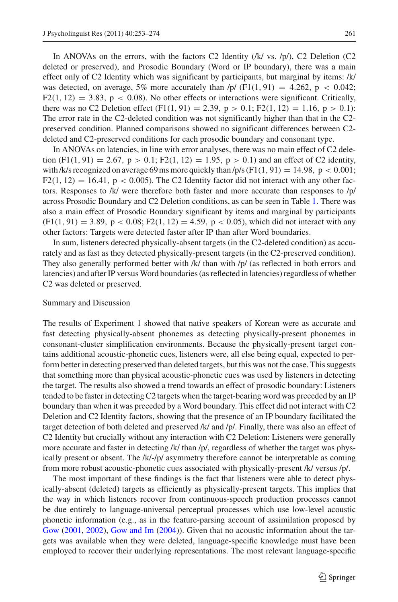In ANOVAs on the errors, with the factors C2 Identity  $(k / vs. /p)$ , C2 Deletion (C2) deleted or preserved), and Prosodic Boundary (Word or IP boundary), there was a main effect only of C2 Identity which was significant by participants, but marginal by items: /k/ was detected, on average, 5% more accurately than  $\pi$   $p$  (F1(1, 91) = 4.262, p < 0.042;  $F2(1, 12) = 3.83$ ,  $p < 0.08$ ). No other effects or interactions were significant. Critically, there was no C2 Deletion effect (F1*(*1*,* 91*)* = 2*.*39*,* p *>* 0*.*1; F2*(*1*,* 12*)* = 1*.*16*,* p *>* 0*.*1): The error rate in the C2-deleted condition was not significantly higher than that in the C2 preserved condition. Planned comparisons showed no significant differences between C2 deleted and C2-preserved conditions for each prosodic boundary and consonant type.

In ANOVAs on latencies, in line with error analyses, there was no main effect of C2 deletion  $(F1(1, 91) = 2.67, p > 0.1; F2(1, 12) = 1.95, p > 0.1$  and an effect of C2 identity, with /k/s recognized on average 69 ms more quickly than /p/s ( $F1(1, 91) = 14.98$ ,  $p < 0.001$ ;  $F2(1, 12) = 16.41$ ,  $p < 0.005$ ). The C2 Identity factor did not interact with any other factors. Responses to /k/ were therefore both faster and more accurate than responses to /p/ across Prosodic Boundary and C2 Deletion conditions, as can be seen in Table [1.](#page-7-0) There was also a main effect of Prosodic Boundary significant by items and marginal by participants (F1*(*1*,* 91*)* = 3*.*89*,* p *<* 0*.*08; F2*(*1*,* 12*)* = 4*.*59*,* p *<* 0*.*05), which did not interact with any other factors: Targets were detected faster after IP than after Word boundaries.

In sum, listeners detected physically-absent targets (in the C2-deleted condition) as accurately and as fast as they detected physically-present targets (in the C2-preserved condition). They also generally performed better with /k/ than with /p/ (as reflected in both errors and latencies) and after IP versus Word boundaries (as reflected in latencies) regardless of whether C2 was deleted or preserved.

#### Summary and Discussion

The results of Experiment 1 showed that native speakers of Korean were as accurate and fast detecting physically-absent phonemes as detecting physically-present phonemes in consonant-cluster simplification environments. Because the physically-present target contains additional acoustic-phonetic cues, listeners were, all else being equal, expected to perform better in detecting preserved than deleted targets, but this was not the case. This suggests that something more than physical acoustic-phonetic cues was used by listeners in detecting the target. The results also showed a trend towards an effect of prosodic boundary: Listeners tended to be faster in detecting C2 targets when the target-bearing word was preceded by an IP boundary than when it was preceded by a Word boundary. This effect did not interact with C2 Deletion and C2 Identity factors, showing that the presence of an IP boundary facilitated the target detection of both deleted and preserved /k/ and /p/. Finally, there was also an effect of C2 Identity but crucially without any interaction with C2 Deletion: Listeners were generally more accurate and faster in detecting /k/ than /p/, regardless of whether the target was physically present or absent. The /k/-/p/ asymmetry therefore cannot be interpretable as coming from more robust acoustic-phonetic cues associated with physically-present /k/ versus /p/.

The most important of these findings is the fact that listeners were able to detect physically-absent (deleted) targets as efficiently as physically-present targets. This implies that the way in which listeners recover from continuous-speech production processes cannot be due entirely to language-universal perceptual processes which use low-level acoustic phonetic information (e.g., as in the feature-parsing account of assimilation proposed by [Gow](#page-19-3) [\(2001](#page-19-3), [2002](#page-19-4)), [Gow and Im](#page-20-4) [\(2004\)](#page-20-4)). Given that no acoustic information about the targets was available when they were deleted, language-specific knowledge must have been employed to recover their underlying representations. The most relevant language-specific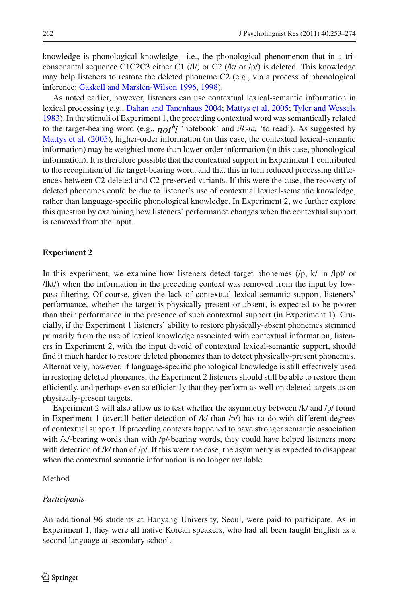knowledge is phonological knowledge—i.e., the phonological phenomenon that in a triconsonantal sequence C1C2C3 either C1  $(11)$  or C2  $(1k/\text{ or }1p)$  is deleted. This knowledge may help listeners to restore the deleted phoneme C2 (e.g., via a process of phonological inference; [Gaskell and Marslen-Wilson 1996](#page-19-1), [1998\)](#page-19-2).

As noted earlier, however, listeners can use contextual lexical-semantic information in lexical processing (e.g., [Dahan and Tanenhaus 2004;](#page-19-7) [Mattys et al. 2005](#page-20-8); [Tyler and Wessels](#page-21-3) [1983](#page-21-3)). In the stimuli of Experiment 1, the preceding contextual word was semantically related to the target-bearing word (e.g.,  $not^h_i$  'notebook' and *ilk-ta*, 'to read'). As suggested by [Mattys et al.](#page-20-8) [\(2005](#page-20-8)), higher-order information (in this case, the contextual lexical-semantic information) may be weighted more than lower-order information (in this case, phonological information). It is therefore possible that the contextual support in Experiment 1 contributed to the recognition of the target-bearing word, and that this in turn reduced processing differences between C2-deleted and C2-preserved variants. If this were the case, the recovery of deleted phonemes could be due to listener's use of contextual lexical-semantic knowledge, rather than language-specific phonological knowledge. In Experiment 2, we further explore this question by examining how listeners' performance changes when the contextual support is removed from the input.

# **Experiment 2**

In this experiment, we examine how listeners detect target phonemes  $(1, k)$  in  $1$ |pt $\prime$  or /lkt/) when the information in the preceding context was removed from the input by lowpass filtering. Of course, given the lack of contextual lexical-semantic support, listeners' performance, whether the target is physically present or absent, is expected to be poorer than their performance in the presence of such contextual support (in Experiment 1). Crucially, if the Experiment 1 listeners' ability to restore physically-absent phonemes stemmed primarily from the use of lexical knowledge associated with contextual information, listeners in Experiment 2, with the input devoid of contextual lexical-semantic support, should find it much harder to restore deleted phonemes than to detect physically-present phonemes. Alternatively, however, if language-specific phonological knowledge is still effectively used in restoring deleted phonemes, the Experiment 2 listeners should still be able to restore them efficiently, and perhaps even so efficiently that they perform as well on deleted targets as on physically-present targets.

Experiment 2 will also allow us to test whether the asymmetry between /k/ and /p/ found in Experiment 1 (overall better detection of  $/k/$  than  $/p/$ ) has to do with different degrees of contextual support. If preceding contexts happened to have stronger semantic association with /k/-bearing words than with /p/-bearing words, they could have helped listeners more with detection of /k/ than of /p/. If this were the case, the asymmetry is expected to disappear when the contextual semantic information is no longer available.

#### Method

#### *Participants*

An additional 96 students at Hanyang University, Seoul, were paid to participate. As in Experiment 1, they were all native Korean speakers, who had all been taught English as a second language at secondary school.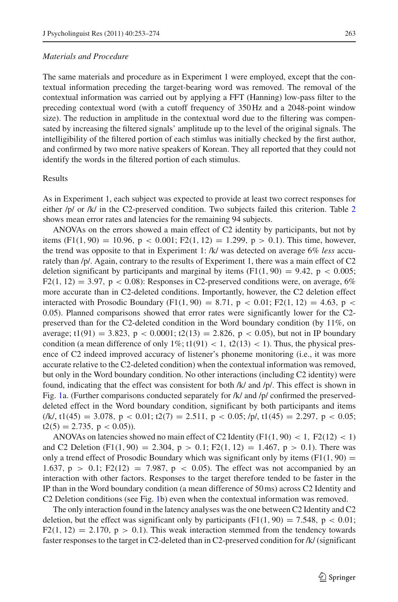## *Materials and Procedure*

The same materials and procedure as in Experiment 1 were employed, except that the contextual information preceding the target-bearing word was removed. The removal of the contextual information was carried out by applying a FFT (Hanning) low-pass filter to the preceding contextual word (with a cutoff frequency of 350 Hz and a 2048-point window size). The reduction in amplitude in the contextual word due to the filtering was compensated by increasing the filtered signals' amplitude up to the level of the original signals. The intelligibility of the filtered portion of each stimlus was initially checked by the first author, and confirmed by two more native speakers of Korean. They all reported that they could not identify the words in the filtered portion of each stimulus.

# Results

As in Experiment 1, each subject was expected to provide at least two correct responses for either /p/ or /k/ in the C2-preserved condition. Two subjects failed this criterion. Table [2](#page-11-0) shows mean error rates and latencies for the remaining 94 subjects.

ANOVAs on the errors showed a main effect of C2 identity by participants, but not by items (F1*(*1*,* 90*)* = 10*.*96*,* p *<* 0*.*001; F2*(*1*,* 12*)* = 1*.*299*,* p *>* 0*.*1). This time, however, the trend was opposite to that in Experiment 1: /k/ was detected on average 6% *less* accurately than /p/. Again, contrary to the results of Experiment 1, there was a main effect of C2 deletion significant by participants and marginal by items  $(F1(1, 90) = 9.42, p < 0.005;$  $F2(1, 12) = 3.97$ ,  $p < 0.08$ ): Responses in C2-preserved conditions were, on average, 6% more accurate than in C2-deleted conditions. Importantly, however, the C2 deletion effect interacted with Prosodic Boundary (F1(1, 90) = 8.71, p < 0.01; F2(1, 12) = 4.63, p < 0*.*05). Planned comparisons showed that error rates were significantly lower for the C2 preserved than for the C2-deleted condition in the Word boundary condition (by 11%, on average; t1*(*91*)* = 3*.*823*,* p *<* 0*.*0001; t2*(*13*)* = 2*.*826*,* p *<* 0*.*05), but not in IP boundary condition (a mean difference of only  $1\%$ ;  $t1(91) < 1$ ,  $t2(13) < 1$ ). Thus, the physical presence of C2 indeed improved accuracy of listener's phoneme monitoring (i.e., it was more accurate relative to the C2-deleted condition) when the contextual information was removed, but only in the Word boundary condition. No other interactions (including C2 identity) were found, indicating that the effect was consistent for both /k/ and /p/. This effect is shown in Fig. [1a](#page-12-0). (Further comparisons conducted separately for /k/ and /p/ confirmed the preserveddeleted effect in the Word boundary condition, significant by both participants and items  $(k/4, t1(45) = 3.078, p < 0.01; t2(7) = 2.511, p < 0.05;$   $\langle p/4, t1(45) = 2.297, p < 0.05;$  $t2(5) = 2.735$ ,  $p < 0.05$ )).

ANOVAs on latencies showed no main effect of C2 Identity (F1*(*1*,* 90*) <* 1*,* F2*(*12*) <* 1) and C2 Deletion (F1(1, 90) = 2.304,  $p > 0.1$ ; F2(1, 12) = 1.467,  $p > 0.1$ ). There was only a trend effect of Prosodic Boundary which was significant only by items  $(F1(1, 90) =$ 1*.*637*,* p *>* 0*.*1; F2*(*12*)* = 7*.*987*,* p *<* 0*.*05). The effect was not accompanied by an interaction with other factors. Responses to the target therefore tended to be faster in the IP than in the Word boundary condition (a mean difference of 50ms) across C2 Identity and C2 Deletion conditions (see Fig. [1b](#page-12-0)) even when the contextual information was removed.

The only interaction found in the latency analyses was the one between C2 Identity and C2 deletion, but the effect was significant only by participants (F1 $(1, 90) = 7.548$ , p < 0.01;  $F2(1, 12) = 2.170$ ,  $p > 0.1$ . This weak interaction stemmed from the tendency towards faster responses to the target in C2-deleted than in C2-preserved condition for /k/ (significant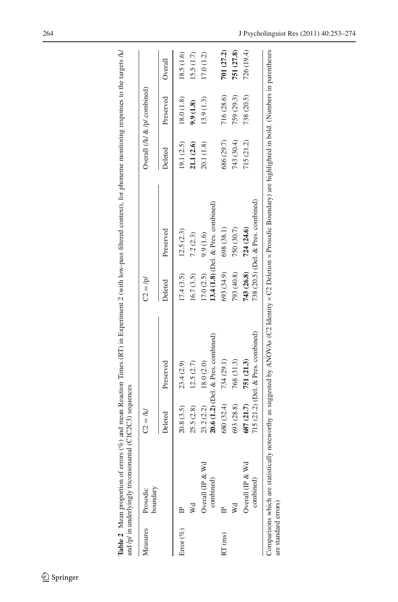<span id="page-11-0"></span>

| Measures     | boundary<br>Prosodic                    | $C2 = N$   |                                    | $C2 = /p/$ |                                    |            | Overall (/k/ & /p/ combined) |            |
|--------------|-----------------------------------------|------------|------------------------------------|------------|------------------------------------|------------|------------------------------|------------|
|              |                                         | Deleted    | Preserved                          | Deleted    | Preserved                          | Deleted    | Preserved                    | Overall    |
| Error $(\%)$ |                                         | 20.8 (3.5) | 23.4 (2.9)                         | 17.4(3.5)  | 12.5(2.3)                          | 19.1(2.5)  | 18.0 (1.8)                   | 18.5 (1.6) |
|              | $\mathbb{V}^{\mathsf{d}}$               | 25.5 (2.8) | 12.5(2.7)                          | 16.7(3.5)  | 7.2(2.3)                           | 21.1 (2.6) | 9.9(1.8)                     | 15.5(1.7)  |
|              | Overall $(\mathbb{IP} \& \mathbb{W})$ d | 23.2(2.2)  | 18.0 (2.0)                         | 17.0(2.5)  | 9.9(1.6)                           | 20.1 (1.8) | 13.9(1.3)                    | 17.0(1.2)  |
|              | combined)                               |            | 20.6 (1.2) (Del. & Pres. combined) |            | 13.4 (1.8) (Del. & Pres. combined) |            |                              |            |
| RT (ms)      | ≘                                       | 680 (32.4) | 734 (29.1)                         | 693 (34.9) | 698 (38.1)                         | 686 (29.7) | 716(28.6)                    | 701 (27.2) |
|              | $\boldsymbol{\triangledown}$            | 693 (28.8) | 768 (31.3)                         | 793 (40.8) | 750 (30.7)                         | 743 (30.4) | 759 (29.3)                   | 751 (27.8) |
|              | Overall (IP & Wd                        | 687 (21.7) | 751 (21.3)                         | 743 (26.8) | 724 (24.6)                         | 715 (21.2) | 738 (20.5)                   | 726 (19.4) |
|              | combined)                               |            | 715 (21.2) (Del. & Pres. combined) |            | 738 (20.5) (Del. & Pres. combined) |            |                              |            |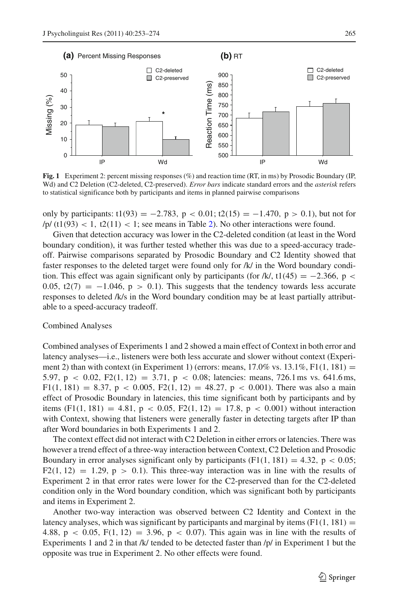

<span id="page-12-0"></span>**Fig. 1** Experiment 2: percent missing responses (%) and reaction time (RT, in ms) by Prosodic Boundary (IP, Wd) and C2 Deletion (C2-deleted, C2-preserved). *Error bars* indicate standard errors and the *asterisk* refers to statistical significance both by participants and items in planned pairwise comparisons

only by participants: t1(93) = −2.783*,* p < 0.01; t2(15) = −1.470*,* p > 0.1), but not for  $/p/(t1(93) < 1, t2(11) < 1$ ; see means in Table [2\)](#page-11-0). No other interactions were found.

Given that detection accuracy was lower in the C2-deleted condition (at least in the Word boundary condition), it was further tested whether this was due to a speed-accuracy tradeoff. Pairwise comparisons separated by Prosodic Boundary and C2 Identity showed that faster responses to the deleted target were found only for /k/ in the Word boundary condition. This effect was again significant only by participants (for  $/k/$ , t1(45) = -2.366*,* p < 0.05,  $t2(7) = -1.046$ ,  $p > 0.1$ ). This suggests that the tendency towards less accurate responses to deleted /k/s in the Word boundary condition may be at least partially attributable to a speed-accuracy tradeoff.

#### Combined Analyses

Combined analyses of Experiments 1 and 2 showed a main effect of Context in both error and latency analyses—i.e., listeners were both less accurate and slower without context (Experiment 2) than with context (in Experiment 1) (errors: means, 17.0% vs. 13.1%, F1*(*1*,* 181*)* = 5*.*97*,* p *<* 0*.*02*,* F2*(*1*,* 12*)* = 3*.*71*,* p *<* 0*.*08; latencies: means, 726.1ms vs. 641.6ms,  $F1(1, 181) = 8.37$ ,  $p < 0.005$ ,  $F2(1, 12) = 48.27$ ,  $p < 0.001$ ). There was also a main effect of Prosodic Boundary in latencies, this time significant both by participants and by items (F1(1, 181) = 4.81,  $p < 0.05$ , F2(1, 12) = 17.8,  $p < 0.001$ ) without interaction with Context, showing that listeners were generally faster in detecting targets after IP than after Word boundaries in both Experiments 1 and 2.

The context effect did not interact with C2 Deletion in either errors or latencies. There was however a trend effect of a three-way interaction between Context, C2 Deletion and Prosodic Boundary in error analyses significant only by participants  $(F1(1, 181) = 4.32, p < 0.05;$  $F2(1, 12) = 1.29$ ,  $p > 0.1$ . This three-way interaction was in line with the results of Experiment 2 in that error rates were lower for the C2-preserved than for the C2-deleted condition only in the Word boundary condition, which was significant both by participants and items in Experiment 2.

Another two-way interaction was observed between C2 Identity and Context in the latency analyses, which was significant by participants and marginal by items  $(F1(1, 181)) =$ 4*.*88*,* p *<* 0*.*05*,* F*(*1*,* 12*)* = 3*.*96*,* p *<* 0*.*07). This again was in line with the results of Experiments 1 and 2 in that /k/ tended to be detected faster than /p/ in Experiment 1 but the opposite was true in Experiment 2. No other effects were found.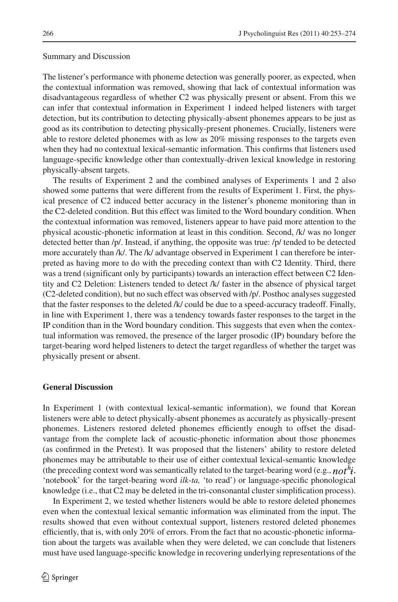## Summary and Discussion

The listener's performance with phoneme detection was generally poorer, as expected, when the contextual information was removed, showing that lack of contextual information was disadvantageous regardless of whether C2 was physically present or absent. From this we can infer that contextual information in Experiment 1 indeed helped listeners with target detection, but its contribution to detecting physically-absent phonemes appears to be just as good as its contribution to detecting physically-present phonemes. Crucially, listeners were able to restore deleted phonemes with as low as 20% missing responses to the targets even when they had no contextual lexical-semantic information. This confirms that listeners used language-specific knowledge other than contextually-driven lexical knowledge in restoring physically-absent targets.

The results of Experiment 2 and the combined analyses of Experiments 1 and 2 also showed some patterns that were different from the results of Experiment 1. First, the physical presence of C2 induced better accuracy in the listener's phoneme monitoring than in the C2-deleted condition. But this effect was limited to the Word boundary condition. When the contextual information was removed, listeners appear to have paid more attention to the physical acoustic-phonetic information at least in this condition. Second, /k/ was no longer detected better than /p/. Instead, if anything, the opposite was true: /p/ tended to be detected more accurately than /k/. The /k/ advantage observed in Experiment 1 can therefore be interpreted as having more to do with the preceding context than with C2 Identity. Third, there was a trend (significant only by participants) towards an interaction effect between C2 Identity and C2 Deletion: Listeners tended to detect /k/ faster in the absence of physical target (C2-deleted condition), but no such effect was observed with /p/. Posthoc analyses suggested that the faster responses to the deleted /k/ could be due to a speed-accuracy tradeoff. Finally, in line with Experiment 1, there was a tendency towards faster responses to the target in the IP condition than in the Word boundary condition. This suggests that even when the contextual information was removed, the presence of the larger prosodic (IP) boundary before the target-bearing word helped listeners to detect the target regardless of whether the target was physically present or absent.

## **General Discussion**

In Experiment 1 (with contextual lexical-semantic information), we found that Korean listeners were able to detect physically-absent phonemes as accurately as physically-present phonemes. Listeners restored deleted phonemes efficiently enough to offset the disadvantage from the complete lack of acoustic-phonetic information about those phonemes (as confirmed in the Pretest). It was proposed that the listeners' ability to restore deleted phonemes may be attributable to their use of either contextual lexical-semantic knowledge (the preceding context word was semantically related to the target-bearing word (e.g.,  $not^h_i$ , 'notebook' for the target-bearing word *ilk-ta,* 'to read') or language-specific phonological knowledge (i.e., that C2 may be deleted in the tri-consonantal cluster simplification process).

In Experiment 2, we tested whether listeners would be able to restore deleted phonemes even when the contextual lexical semantic information was eliminated from the input. The results showed that even without contextual support, listeners restored deleted phonemes efficiently, that is, with only 20% of errors. From the fact that no acoustic-phonetic information about the targets was available when they were deleted, we can conclude that listeners must have used language-specific knowledge in recovering underlying representations of the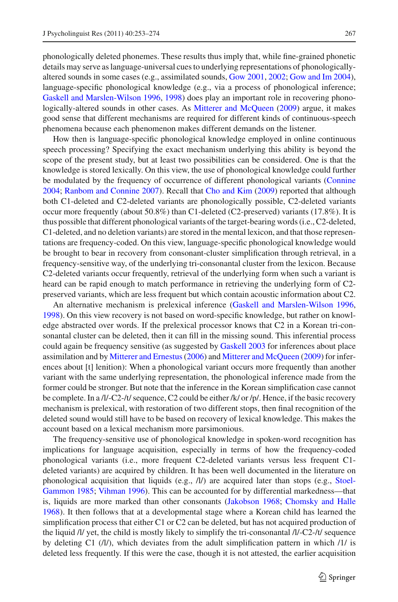phonologically deleted phonemes. These results thus imply that, while fine-grained phonetic details may serve as language-universal cues to underlying representations of phonologicallyaltered sounds in some cases (e.g., assimilated sounds, [Gow 2001](#page-19-3), [2002;](#page-19-4) [Gow and Im 2004\)](#page-20-4), language-specific phonological knowledge (e.g., via a process of phonological inference; [Gaskell and Marslen-Wilson 1996](#page-19-1), [1998](#page-19-2)) does play an important role in recovering phono-logically-altered sounds in other cases. As [Mitterer and McQueen](#page-20-3) [\(2009\)](#page-20-3) argue, it makes good sense that different mechanisms are required for different kinds of continuous-speech phenomena because each phenomenon makes different demands on the listener.

How then is language-specific phonological knowledge employed in online continuous speech processing? Specifying the exact mechanism underlying this ability is beyond the scope of the present study, but at least two possibilities can be considered. One is that the knowledge is stored lexically. On this view, the use of phonological knowledge could further be modulated by the frequency of occurrence of different phonological variants [\(Connine](#page-19-15) [2004](#page-19-15); [Ranbom and Connine 2007\)](#page-20-18). Recall that [Cho and Kim](#page-19-6) [\(2009](#page-19-6)) reported that although both C1-deleted and C2-deleted variants are phonologically possible, C2-deleted variants occur more frequently (about 50.8%) than C1-deleted (C2-preserved) variants (17.8%). It is thus possible that different phonological variants of the target-bearing words (i.e., C2-deleted, C1-deleted, and no deletion variants) are stored in the mental lexicon, and that those representations are frequency-coded. On this view, language-specific phonological knowledge would be brought to bear in recovery from consonant-cluster simplification through retrieval, in a frequency-sensitive way, of the underlying tri-consonantal cluster from the lexicon. Because C2-deleted variants occur frequently, retrieval of the underlying form when such a variant is heard can be rapid enough to match performance in retrieving the underlying form of C2 preserved variants, which are less frequent but which contain acoustic information about C2.

An alternative mechanism is prelexical inference [\(Gaskell and Marslen-Wilson 1996,](#page-19-1) [1998](#page-19-2)). On this view recovery is not based on word-specific knowledge, but rather on knowledge abstracted over words. If the prelexical processor knows that C2 in a Korean tri-consonantal cluster can be deleted, then it can fill in the missing sound. This inferential process could again be frequency sensitive (as suggested by [Gaskell 2003](#page-19-16) for inferences about place assimilation and by [Mitterer and Ernestus\(2006](#page-20-2)) and [Mitterer and McQueen](#page-20-3) [\(2009\)](#page-20-3) for inferences about [t] lenition): When a phonological variant occurs more frequently than another variant with the same underlying representation, the phonological inference made from the former could be stronger. But note that the inference in the Korean simplification case cannot be complete. In a /l/-C2-/t/ sequence, C2 could be either /k/ or /p/. Hence, if the basic recovery mechanism is prelexical, with restoration of two different stops, then final recognition of the deleted sound would still have to be based on recovery of lexical knowledge. This makes the account based on a lexical mechanism more parsimonious.

The frequency-sensitive use of phonological knowledge in spoken-word recognition has implications for language acquisition, especially in terms of how the frequency-coded phonological variants (i.e., more frequent C2-deleted variants versus less frequent C1 deleted variants) are acquired by children. It has been well documented in the literature on phonolo[gical](#page-21-7) [acquisition](#page-21-7) [that](#page-21-7) [liquids](#page-21-7) [\(e.g.,](#page-21-7)  $\Lambda$ ) [are](#page-21-7) [acquired](#page-21-7) [later](#page-21-7) [than](#page-21-7) [stops](#page-21-7) (e.g., Stoel-Gammon [1985;](#page-21-7) [Vihman 1996](#page-21-8)). This can be accounted for by differential markedness—that is, liquids are more marked than other consonants [\(Jakobson 1968](#page-20-19); [Chomsky and Halle](#page-19-17) [1968](#page-19-17)). It then follows that at a developmental stage where a Korean child has learned the simplification process that either C1 or C2 can be deleted, but has not acquired production of the liquid /l/ yet, the child is mostly likely to simplify the tri-consonantal /l/-C2-/t/ sequence by deleting C1  $(1/)$ , which deviates from the adult simplification pattern in which  $/1/$  is deleted less frequently. If this were the case, though it is not attested, the earlier acquisition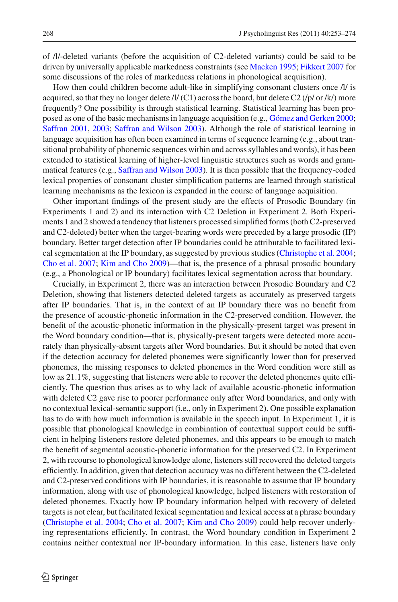of /l/-deleted variants (before the acquisition of C2-deleted variants) could be said to be driven by universally applicable markedness constraints (see [Macken 1995](#page-20-20); [Fikkert 2007](#page-19-18) for some discussions of the roles of markedness relations in phonological acquisition).

How then could children become adult-like in simplifying consonant clusters once  $/I/I$  is acquired, so that they no longer delete  $\frac{I}{I}$  (C1) across the board, but delete C2 (/p/ or /k/) more frequently? One possibility is through statistical learning. Statistical learning has been proposed as one of the basic mechanisms in language acquisition (e.g., [Gómez and Gerken 2000](#page-19-19); [Saffran 2001,](#page-21-9) [2003;](#page-21-10) [Saffran and Wilson 2003\)](#page-21-11). Although the role of statistical learning in language acquisition has often been examined in terms of sequence learning (e.g., about transitional probability of phonemic sequences within and across syllables and words), it has been extended to statistical learning of higher-level linguistic structures such as words and grammatical features (e.g., [Saffran and Wilson 2003](#page-21-11)). It is then possible that the frequency-coded lexical properties of consonant cluster simplification patterns are learned through statistical learning mechanisms as the lexicon is expanded in the course of language acquisition.

Other important findings of the present study are the effects of Prosodic Boundary (in Experiments 1 and 2) and its interaction with C2 Deletion in Experiment 2. Both Experiments 1 and 2 showed a tendency that listeners processed simplified forms (both C2-preserved and C2-deleted) better when the target-bearing words were preceded by a large prosodic (IP) boundary. Better target detection after IP boundaries could be attributable to facilitated lexical segmentation at the IP boundary, as suggested by previous studies [\(Christophe et al. 2004](#page-19-8); [Cho et al. 2007;](#page-19-9) [Kim and Cho 2009](#page-20-13))—that is, the presence of a phrasal prosodic boundary (e.g., a Phonological or IP boundary) facilitates lexical segmentation across that boundary.

Crucially, in Experiment 2, there was an interaction between Prosodic Boundary and C2 Deletion, showing that listeners detected deleted targets as accurately as preserved targets after IP boundaries. That is, in the context of an IP boundary there was no benefit from the presence of acoustic-phonetic information in the C2-preserved condition. However, the benefit of the acoustic-phonetic information in the physically-present target was present in the Word boundary condition—that is, physically-present targets were detected more accurately than physically-absent targets after Word boundaries. But it should be noted that even if the detection accuracy for deleted phonemes were significantly lower than for preserved phonemes, the missing responses to deleted phonemes in the Word condition were still as low as 21.1%, suggesting that listeners were able to recover the deleted phonemes quite efficiently. The question thus arises as to why lack of available acoustic-phonetic information with deleted C2 gave rise to poorer performance only after Word boundaries, and only with no contextual lexical-semantic support (i.e., only in Experiment 2). One possible explanation has to do with how much information is available in the speech input. In Experiment 1, it is possible that phonological knowledge in combination of contextual support could be sufficient in helping listeners restore deleted phonemes, and this appears to be enough to match the benefit of segmental acoustic-phonetic information for the preserved C2. In Experiment 2, with recourse to phonological knowledge alone, listeners still recovered the deleted targets efficiently. In addition, given that detection accuracy was no different between the C2-deleted and C2-preserved conditions with IP boundaries, it is reasonable to assume that IP boundary information, along with use of phonological knowledge, helped listeners with restoration of deleted phonemes. Exactly how IP boundary information helped with recovery of deleted targets is not clear, but facilitated lexical segmentation and lexical access at a phrase boundary [\(Christophe et al. 2004;](#page-19-8) [Cho et al. 2007;](#page-19-9) [Kim and Cho 2009\)](#page-20-13) could help recover underlying representations efficiently. In contrast, the Word boundary condition in Experiment 2 contains neither contextual nor IP-boundary information. In this case, listeners have only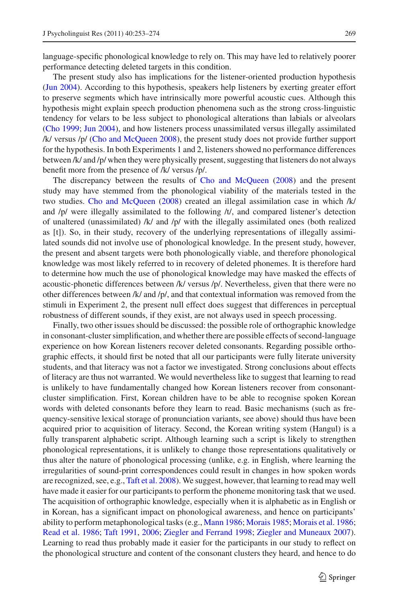language-specific phonological knowledge to rely on. This may have led to relatively poorer performance detecting deleted targets in this condition.

The present study also has implications for the listener-oriented production hypothesis [\(Jun 2004](#page-20-17)). According to this hypothesis, speakers help listeners by exerting greater effort to preserve segments which have intrinsically more powerful acoustic cues. Although this hypothesis might explain speech production phenomena such as the strong cross-linguistic tendency for velars to be less subject to phonological alterations than labials or alveolars [\(Cho 1999;](#page-19-5) [Jun 2004\)](#page-20-17), and how listeners process unassimilated versus illegally assimilated /k/ versus /p/ [\(Cho and McQueen 2008](#page-19-11)), the present study does not provide further support for the hypothesis. In both Experiments 1 and 2, listeners showed no performance differences between /k/ and /p/ when they were physically present, suggesting that listeners do not always benefit more from the presence of /k/ versus /p/.

The discrepancy between the results of [Cho and McQueen](#page-19-11) [\(2008\)](#page-19-11) and the present study may have stemmed from the phonological viability of the materials tested in the two studies. [Cho and McQueen](#page-19-11) [\(2008\)](#page-19-11) created an illegal assimilation case in which /k/ and /p/ were illegally assimilated to the following /t/, and compared listener's detection of unaltered (unassimilated) /k/ and /p/ with the illegally assimilated ones (both realized as [t]). So, in their study, recovery of the underlying representations of illegally assimilated sounds did not involve use of phonological knowledge. In the present study, however, the present and absent targets were both phonologically viable, and therefore phonological knowledge was most likely referred to in recovery of deleted phonemes. It is therefore hard to determine how much the use of phonological knowledge may have masked the effects of acoustic-phonetic differences between /k/ versus /p/. Nevertheless, given that there were no other differences between  $/k/$  and  $/p/$ , and that contextual information was removed from the stimuli in Experiment 2, the present null effect does suggest that differences in perceptual robustness of different sounds, if they exist, are not always used in speech processing.

Finally, two other issues should be discussed: the possible role of orthographic knowledge in consonant-cluster simplification, and whether there are possible effects of second-language experience on how Korean listeners recover deleted consonants. Regarding possible orthographic effects, it should first be noted that all our participants were fully literate university students, and that literacy was not a factor we investigated. Strong conclusions about effects of literacy are thus not warranted. We would nevertheless like to suggest that learning to read is unlikely to have fundamentally changed how Korean listeners recover from consonantcluster simplification. First, Korean children have to be able to recognise spoken Korean words with deleted consonants before they learn to read. Basic mechanisms (such as frequency-sensitive lexical storage of pronunciation variants, see above) should thus have been acquired prior to acquisition of literacy. Second, the Korean writing system (Hangul) is a fully transparent alphabetic script. Although learning such a script is likely to strengthen phonological representations, it is unlikely to change those representations qualitatively or thus alter the nature of phonological processing (unlike, e.g. in English, where learning the irregularities of sound-print correspondences could result in changes in how spoken words are recognized, see, e.g., [Taft et al. 2008](#page-21-12)). We suggest, however, that learning to read may well have made it easier for our participants to perform the phoneme monitoring task that we used. The acquisition of orthographic knowledge, especially when it is alphabetic as in English or in Korean, has a significant impact on phonological awareness, and hence on participants' ability to perform metaphonological tasks (e.g., [Mann 1986;](#page-20-21) [Morais 1985](#page-20-22); [Morais et al. 1986](#page-20-23); [Read et al. 1986;](#page-20-24) [Taft 1991,](#page-21-13) [2006;](#page-21-14) [Ziegler and Ferrand 1998](#page-21-15); [Ziegler and Muneaux 2007\)](#page-21-16). Learning to read thus probably made it easier for the participants in our study to reflect on the phonological structure and content of the consonant clusters they heard, and hence to do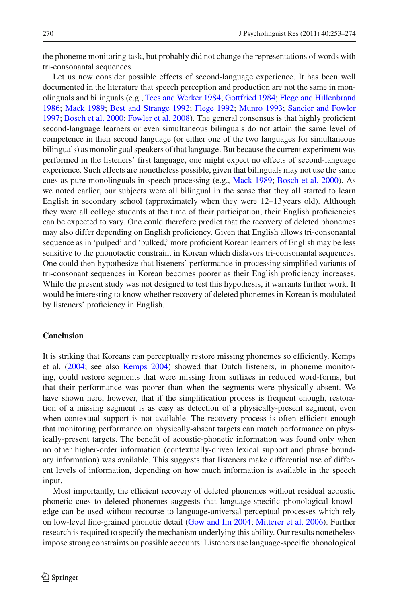the phoneme monitoring task, but probably did not change the representations of words with tri-consonantal sequences.

Let us now consider possible effects of second-language experience. It has been well documented in the literature that speech perception and production are not the same in monolinguals and bilinguals (e.g., [Tees and Werker 1984;](#page-21-17) [Gottfried 1984](#page-19-20); [Flege and Hillenbrand](#page-19-21) [1986](#page-19-21); [Mack 1989;](#page-20-25) [Best and Strange 1992;](#page-19-22) [Flege 1992](#page-19-23); [Munro 1993](#page-20-26); [Sancier and Fowler](#page-21-18) [1997](#page-21-18); [Bosch et al. 2000;](#page-19-24) [Fowler et al. 2008\)](#page-19-25). The general consensus is that highly proficient second-language learners or even simultaneous bilinguals do not attain the same level of competence in their second language (or either one of the two languages for simultaneous bilinguals) as monolingual speakers of that language. But because the current experiment was performed in the listeners' first language, one might expect no effects of second-language experience. Such effects are nonetheless possible, given that bilinguals may not use the same cues as pure monolinguals in speech processing (e.g., [Mack 1989;](#page-20-25) [Bosch et al. 2000\)](#page-19-24). As we noted earlier, our subjects were all bilingual in the sense that they all started to learn English in secondary school (approximately when they were 12–13 years old). Although they were all college students at the time of their participation, their English proficiencies can be expected to vary. One could therefore predict that the recovery of deleted phonemes may also differ depending on English proficiency. Given that English allows tri-consonantal sequence as in 'pulped' and 'bulked,' more proficient Korean learners of English may be less sensitive to the phonotactic constraint in Korean which disfavors tri-consonantal sequences. One could then hypothesize that listeners' performance in processing simplified variants of tri-consonant sequences in Korean becomes poorer as their English proficiency increases. While the present study was not designed to test this hypothesis, it warrants further work. It would be interesting to know whether recovery of deleted phonemes in Korean is modulated by listeners' proficiency in English.

#### **Conclusion**

It is striking that Koreans can perceptually restore missing phonemes so efficiently. Kemps et al. [\(2004;](#page-20-27) see also [Kemps 2004\)](#page-20-28) showed that Dutch listeners, in phoneme monitoring, could restore segments that were missing from suffixes in reduced word-forms, but that their performance was poorer than when the segments were physically absent. We have shown here, however, that if the simplification process is frequent enough, restoration of a missing segment is as easy as detection of a physically-present segment, even when contextual support is not available. The recovery process is often efficient enough that monitoring performance on physically-absent targets can match performance on physically-present targets. The benefit of acoustic-phonetic information was found only when no other higher-order information (contextually-driven lexical support and phrase boundary information) was available. This suggests that listeners make differential use of different levels of information, depending on how much information is available in the speech input.

Most importantly, the efficient recovery of deleted phonemes without residual acoustic phonetic cues to deleted phonemes suggests that language-specific phonological knowledge can be used without recourse to language-universal perceptual processes which rely on low-level fine-grained phonetic detail [\(Gow and Im 2004](#page-20-4); [Mitterer et al. 2006\)](#page-20-5). Further research is required to specify the mechanism underlying this ability. Our results nonetheless impose strong constraints on possible accounts: Listeners use language-specific phonological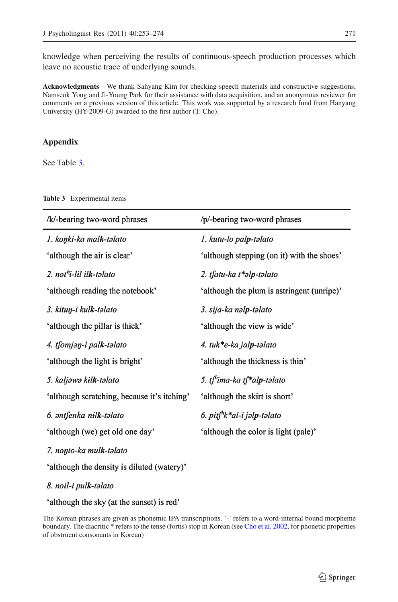knowledge when perceiving the results of continuous-speech production processes which leave no acoustic trace of underlying sounds.

**Acknowledgments** We thank Sahyang Kim for checking speech materials and constructive suggestions, Namseok Yong and Ji-Young Park for their assistance with data acquisition, and an anonymous reviewer for comments on a previous version of this article. This work was supported by a research fund from Hanyang University (HY-2009-G) awarded to the first author (T. Cho).

# **Appendix**

See Table [3.](#page-18-0)

| /k/-bearing two-word phrases                | /p/-bearing two-word phrases                      |
|---------------------------------------------|---------------------------------------------------|
| 1. konki-ka malk-talato                     | 1. kutu-lo palp-talato                            |
| 'although the air is clear'                 | 'although stepping (on it) with the shoes'        |
| 2. not <sup>h</sup> i-lil ilk-təlato        | 2. tfatu-ka t*alp-talato                          |
| 'although reading the notebook'             | 'although the plum is astringent (unripe)'        |
| 3. kituņ-i kulk-təlato                      | 3. sija-ka nəlp-təlato                            |
| 'although the pillar is thick'              | 'although the view is wide'                       |
| 4. tfomjan-i palk-talato                    | 4. tuk*e-ka jalp-talato                           |
| 'although the light is bright'              | 'although the thickness is thin'                  |
| 5. kaljowo kilk-tolato                      | 5. tf <sup>h</sup> ima-ka tf*alp-təlato           |
| 'although scratching, because it's itching' | 'although the skirt is short'                     |
| 6. antfenka nilk-talato                     | 6. pitf <sup><i>n</i></sup> $k$ *al-i jəlp-təlato |
| 'although (we) get old one day'             | 'although the color is light (pale)'              |
| 7. nonto-ka mulk-talato                     |                                                   |
| 'although the density is diluted (watery)'  |                                                   |
| 8. noil-i pulk-talato                       |                                                   |
| 'although the sky (at the sunset) is red'   |                                                   |

<span id="page-18-0"></span>**Table 3** Experimental items

The Korean phrases are given as phonemic IPA transcriptions. '-' refers to a word-internal bound morpheme boundary. The diacritic \* refers to the tense (fortis) stop in Korean (see [Cho et al. 2002,](#page-19-26) for phonetic properties of obstruent consonants in Korean)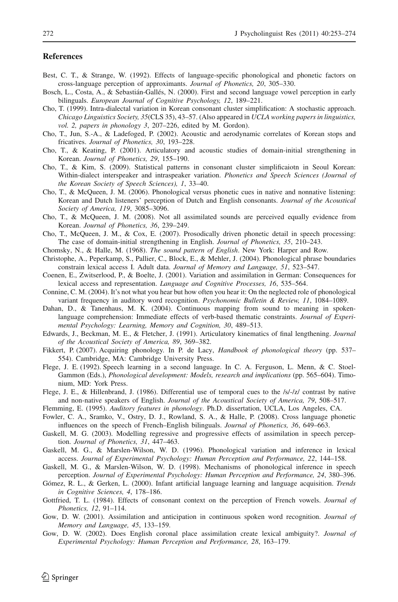## **References**

- <span id="page-19-22"></span>Best, C. T., & Strange, W. (1992). Effects of language-specific phonological and phonetic factors on cross-language perception of approximants. *Journal of Phonetics, 20*, 305–330.
- <span id="page-19-24"></span>Bosch, L., Costa, A., & Sebastián-Gallés, N. (2000). First and second language vowel perception in early bilinguals. *European Journal of Cognitive Psychology, 12*, 189–221.
- <span id="page-19-5"></span>Cho, T. (1999). Intra-dialectal variation in Korean consonant cluster simplification: A stochastic approach. *Chicago Linguistics Society, 35*(CLS 35), 43–57. (Also appeared in *UCLA working papers in linguistics, vol. 2, papers in phonology 3*, 207–226, edited by M. Gordon).
- <span id="page-19-26"></span>Cho, T., Jun, S.-A., & Ladefoged, P. (2002). Acoustic and aerodynamic correlates of Korean stops and fricatives. *Journal of Phonetics, 30*, 193–228.
- <span id="page-19-14"></span>Cho, T., & Keating, P. (2001). Articulatory and acoustic studies of domain-initial strengthening in Korean. *Journal of Phonetics, 29*, 155–190.
- <span id="page-19-6"></span>Cho, T., & Kim, S. (2009). Statistical patterns in consonant cluster simplificaiotn in Seoul Korean: Within-dialect interspeaker and intraspeaker variation. *Phonetics and Speech Sciences (Journal of the Korean Society of Speech Sciences), 1*, 33–40.
- <span id="page-19-12"></span>Cho, T., & McQueen, J. M. (2006). Phonological versus phonetic cues in native and nonnative listening: Korean and Dutch listeners' perception of Dutch and English consonants. *Journal of the Acoustical Society of America, 119*, 3085–3096.
- <span id="page-19-11"></span>Cho, T., & McQueen, J. M. (2008). Not all assimilated sounds are perceived equally evidence from Korean. *Journal of Phonetics, 36*, 239–249.
- <span id="page-19-9"></span>Cho, T., McQueen, J. M., & Cox, E. (2007). Prosodically driven phonetic detail in speech processing: The case of domain-initial strengthening in English. *Journal of Phonetics, 35*, 210–243.
- <span id="page-19-17"></span>Chomsky, N., & Halle, M. (1968). *The sound pattern of English*. New York: Harper and Row.
- <span id="page-19-8"></span>Christophe, A., Peperkamp, S., Pallier, C., Block, E., & Mehler, J. (2004). Phonological phrase boundaries constrain lexical access I. Adult data. *Journal of Memory and Language, 51*, 523–547.
- <span id="page-19-0"></span>Coenen, E., Zwitserlood, P., & Boelte, J. (2001). Variation and assimilation in German: Consequences for lexical access and representation. *Language and Cognitive Processes, 16*, 535–564.
- <span id="page-19-15"></span>Connine, C. M. (2004). It's not what you hear but how often you hear it: On the neglected role of phonological variant frequency in auditory word recognition. *Psychonomic Bulletin & Review, 11*, 1084–1089.
- <span id="page-19-7"></span>Dahan, D., & Tanenhaus, M. K. (2004). Continuous mapping from sound to meaning in spokenlanguage comprehension: Immediate effects of verb-based thematic constraints. *Journal of Experimental Psychology: Learning, Memory and Cognition, 30*, 489–513.
- <span id="page-19-13"></span>Edwards, J., Beckman, M. E., & Fletcher, J. (1991). Articulatory kinematics of final lengthening. *Journal of the Acoustical Society of America, 89*, 369–382.
- <span id="page-19-18"></span>Fikkert, P. (2007). Acquiring phonology. In P. de Lacy, *Handbook of phonological theory* (pp. 537– 554). Cambridge, MA: Cambridge University Press.
- <span id="page-19-23"></span>Flege, J. E. (1992). Speech learning in a second language. In C. A. Ferguson, L. Menn, & C. Stoel-Gammon (Eds.), *Phonological development: Models, research and implications* (pp. 565–604). Timonium, MD: York Press.
- <span id="page-19-21"></span>Flege, J. E., & Hillenbrand, J. (1986). Differential use of temporal cues to the  $/s/-/z/-$  contrast by native and non-native speakers of English. *Journal of the Acoustical Society of America, 79*, 508–517.
- <span id="page-19-10"></span>Flemming, E. (1995). *Auditory features in phonology*. Ph.D. dissertation, UCLA, Los Angeles, CA.
- <span id="page-19-25"></span>Fowler, C. A., Sramko, V., Ostry, D. J., Rowland, S. A., & Halle, P. (2008). Cross language phonetic influences on the speech of French–English bilinguals. *Journal of Phonetics, 36*, 649–663.
- <span id="page-19-16"></span>Gaskell, M. G. (2003). Modelling regressive and progressive effects of assimilation in speech perception. *Journal of Phonetics, 31*, 447–463.
- <span id="page-19-1"></span>Gaskell, M. G., & Marslen-Wilson, W. D. (1996). Phonological variation and inference in lexical access. *Journal of Experimental Psychology: Human Perception and Performance, 22*, 144–158.
- <span id="page-19-2"></span>Gaskell, M. G., & Marslen-Wilson, W. D. (1998). Mechanisms of phonological inference in speech perception. *Journal of Experimental Psychology: Human Perception and Performance, 24*, 380–396.
- <span id="page-19-19"></span>Gómez, R. L., & Gerken, L. (2000). Infant artificial language learning and language acquisition. *Trends in Cognitive Sciences, 4*, 178–186.
- <span id="page-19-20"></span>Gottfried, T. L. (1984). Effects of consonant context on the perception of French vowels. *Journal of Phonetics, 12*, 91–114.
- <span id="page-19-3"></span>Gow, D. W. (2001). Assimilation and anticipation in continuous spoken word recognition. *Journal of Memory and Language, 45*, 133–159.
- <span id="page-19-4"></span>Gow, D. W. (2002). Does English coronal place assimilation create lexical ambiguity?. *Journal of Experimental Psychology: Human Perception and Performance, 28*, 163–179.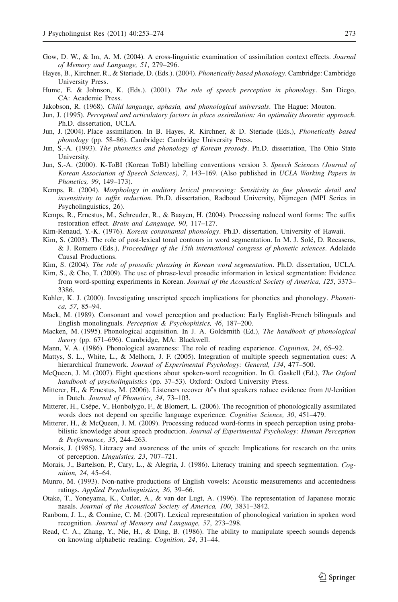- <span id="page-20-4"></span>Gow, D. W., & Im, A. M. (2004). A cross-linguistic examination of assimilation context effects. *Journal of Memory and Language, 51*, 279–296.
- <span id="page-20-14"></span>Hayes, B., Kirchner, R., & Steriade, D. (Eds.). (2004). *Phonetically based phonology*. Cambridge: Cambridge University Press.
- <span id="page-20-15"></span>Hume, E. & Johnson, K. (Eds.). (2001). *The role of speech perception in phonology*. San Diego, CA: Academic Press.
- <span id="page-20-19"></span>Jakobson, R. (1968). *Child language, aphasia, and phonological universals*. The Hague: Mouton.
- <span id="page-20-16"></span>Jun, J. (1995). *Perceptual and articulatory factors in place assimilation: An optimality theoretic approach*. Ph.D. dissertation, UCLA.
- <span id="page-20-17"></span>Jun, J. (2004). Place assimilation. In B. Hayes, R. Kirchner, & D. Steriade (Eds.), *Phonetically based phonology* (pp. 58–86). Cambridge: Cambridge University Press.
- <span id="page-20-11"></span>Jun, S.-A. (1993). *The phonetics and phonology of Korean prosody*. Ph.D. dissertation, The Ohio State University.
- <span id="page-20-12"></span>Jun, S.-A. (2000). K-ToBI (Korean ToBI) labelling conventions version 3. *Speech Sciences (Journal of Korean Association of Speech Sciences), 7*, 143–169. (Also published in *UCLA Working Papers in Phonetics, 99*, 149–173).
- <span id="page-20-28"></span>Kemps, R. (2004). *Morphology in auditory lexical processing: Sensitivity to fine phonetic detail and insensitivity to suffix reduction*. Ph.D. dissertation, Radboud University, Nijmegen (MPI Series in Psycholinguistics, 26).
- <span id="page-20-27"></span>Kemps, R., Ernestus, M., Schreuder, R., & Baayen, H. (2004). Processing reduced word forms: The suffix restoration effect. *Brain and Language, 90*, 117–127.
- <span id="page-20-9"></span><span id="page-20-7"></span>Kim-Renaud, Y.-K. (1976). *Korean consonantal phonology*. Ph.D. dissertation, University of Hawaii.
- Kim, S. (2003). The role of post-lexical tonal contours in word segmentation. In M. J. Solé, D. Recasens, & J. Romero (Eds.), *Proceedings of the 15th international congress of phonetic sciences*. Adelaide Causal Productions.
- <span id="page-20-10"></span>Kim, S. (2004). *The role of prosodic phrasing in Korean word segmentation*. Ph.D. dissertation, UCLA.
- <span id="page-20-13"></span>Kim, S., & Cho, T. (2009). The use of phrase-level prosodic information in lexical segmentation: Evidence from word-spotting experiments in Korean. *Journal of the Acoustical Society of America, 125*, 3373– 3386.
- <span id="page-20-1"></span>Kohler, K. J. (2000). Investigating unscripted speech implications for phonetics and phonology. *Phonetica, 57*, 85–94.
- <span id="page-20-25"></span>Mack, M. (1989). Consonant and vowel perception and production: Early English-French bilinguals and English monolinguals. *Perception & Psychophisics, 46*, 187–200.
- <span id="page-20-20"></span>Macken, M. (1995). Phonological acquisition. In J. A. Goldsmith (Ed.), *The handbook of phonological theory* (pp. 671–696). Cambridge, MA: Blackwell.
- <span id="page-20-21"></span>Mann, V. A. (1986). Phonological awareness: The role of reading experience. *Cognition, 24*, 65–92.
- <span id="page-20-8"></span>Mattys, S. L., White, L., & Melhorn, J. F. (2005). Integration of multiple speech segmentation cues: A hierarchical framework. *Journal of Experimental Psychology: General, 134*, 477–500.
- <span id="page-20-0"></span>McQueen, J. M. (2007). Eight questions about spoken-word recognition. In G. Gaskell (Ed.), *The Oxford handbook of psycholinguistics* (pp. 37–53). Oxford: Oxford University Press.
- <span id="page-20-2"></span>Mitterer, H., & Ernestus, M. (2006). Listeners recover /t/'s that speakers reduce evidence from /t/-lenition in Dutch. *Journal of Phonetics, 34*, 73–103.
- <span id="page-20-5"></span>Mitterer, H., Csépe, V., Honbolygo, F., & Blomert, L. (2006). The recognition of phonologically assimilated words does not depend on specific language experience. *Cognitive Science, 30*, 451–479.
- <span id="page-20-3"></span>Mitterer, H., & McQueen, J. M. (2009). Processing reduced word-forms in speech perception using probabilistic knowledge about speech production. *Journal of Experimental Psychology: Human Perception & Performance, 35*, 244–263.
- <span id="page-20-22"></span>Morais, J. (1985). Literacy and awareness of the units of speech: Implications for research on the units of perception. *Linguistics, 23*, 707–721.
- <span id="page-20-23"></span>Morais, J., Bartelson, P., Cary, L., & Alegria, J. (1986). Literacy training and speech segmentation. *Cognition, 24*, 45–64.
- <span id="page-20-26"></span>Munro, M. (1993). Non-native productions of English vowels: Acoustic measurements and accentedness ratings. *Applied Psycholinguistics, 36*, 39–66.
- <span id="page-20-6"></span>Otake, T., Yoneyama, K., Cutler, A., & van der Lugt, A. (1996). The representation of Japanese moraic nasals. *Journal of the Acoustical Society of America, 100*, 3831–3842.
- <span id="page-20-18"></span>Ranbom, J. L., & Connine, C. M. (2007). Lexical representation of phonological variation in spoken word recognition. *Journal of Memory and Language, 57*, 273–298.
- <span id="page-20-24"></span>Read, C. A., Zhang, Y., Nie, H., & Ding, B. (1986). The ability to manipulate speech sounds depends on knowing alphabetic reading. *Cognition, 24*, 31–44.